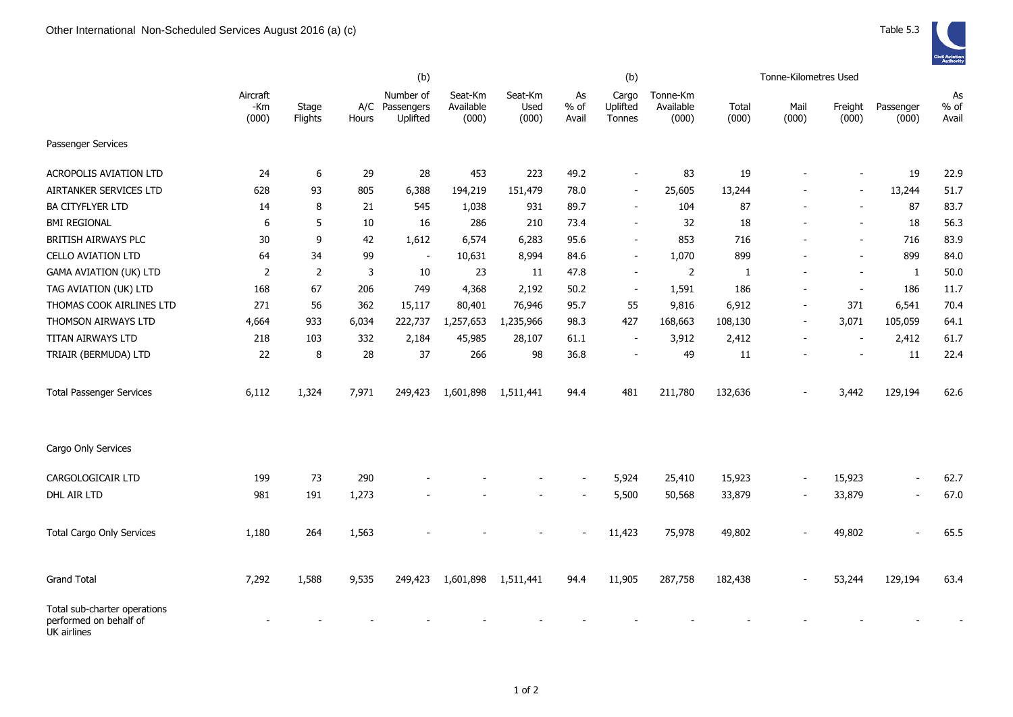|                                                                       | (b)                      |                  |              |                                     |                               |                          |                     | (b)                         |                                |                | Tonne-Kilometres Used |                          |                          |                       |
|-----------------------------------------------------------------------|--------------------------|------------------|--------------|-------------------------------------|-------------------------------|--------------------------|---------------------|-----------------------------|--------------------------------|----------------|-----------------------|--------------------------|--------------------------|-----------------------|
|                                                                       | Aircraft<br>-Km<br>(000) | Stage<br>Flights | A/C<br>Hours | Number of<br>Passengers<br>Uplifted | Seat-Km<br>Available<br>(000) | Seat-Km<br>Used<br>(000) | As<br>% of<br>Avail | Cargo<br>Uplifted<br>Tonnes | Tonne-Km<br>Available<br>(000) | Total<br>(000) | Mail<br>(000)         | Freight<br>(000)         | Passenger<br>(000)       | As<br>$%$ of<br>Avail |
| Passenger Services                                                    |                          |                  |              |                                     |                               |                          |                     |                             |                                |                |                       |                          |                          |                       |
| <b>ACROPOLIS AVIATION LTD</b>                                         | 24                       | 6                | 29           | 28                                  | 453                           | 223                      | 49.2                | $\overline{\phantom{a}}$    | 83                             | 19             |                       |                          | 19                       | 22.9                  |
| AIRTANKER SERVICES LTD                                                | 628                      | 93               | 805          | 6,388                               | 194,219                       | 151,479                  | 78.0                | $\overline{\phantom{a}}$    | 25,605                         | 13,244         |                       | $\blacksquare$           | 13,244                   | 51.7                  |
| <b>BA CITYFLYER LTD</b>                                               | 14                       | 8                | 21           | 545                                 | 1,038                         | 931                      | 89.7                | $\overline{\phantom{a}}$    | 104                            | 87             |                       | $\blacksquare$           | 87                       | 83.7                  |
| <b>BMI REGIONAL</b>                                                   | 6                        | 5                | 10           | 16                                  | 286                           | 210                      | 73.4                | $\overline{\phantom{a}}$    | 32                             | 18             |                       |                          | 18                       | 56.3                  |
| BRITISH AIRWAYS PLC                                                   | 30                       | 9                | 42           | 1,612                               | 6,574                         | 6,283                    | 95.6                | $\overline{\phantom{a}}$    | 853                            | 716            |                       |                          | 716                      | 83.9                  |
| <b>CELLO AVIATION LTD</b>                                             | 64                       | 34               | 99           | $\blacksquare$                      | 10,631                        | 8,994                    | 84.6                | $\blacksquare$              | 1,070                          | 899            |                       | $\overline{a}$           | 899                      | 84.0                  |
| <b>GAMA AVIATION (UK) LTD</b>                                         | $\overline{2}$           | 2                | 3            | 10                                  | 23                            | 11                       | 47.8                | $\overline{\phantom{a}}$    | 2                              | $\mathbf{1}$   |                       | $\overline{\phantom{a}}$ | $\mathbf{1}$             | 50.0                  |
| TAG AVIATION (UK) LTD                                                 | 168                      | 67               | 206          | 749                                 | 4,368                         | 2,192                    | 50.2                | $\overline{\phantom{a}}$    | 1,591                          | 186            |                       | $\overline{\phantom{a}}$ | 186                      | 11.7                  |
| THOMAS COOK AIRLINES LTD                                              | 271                      | 56               | 362          | 15,117                              | 80,401                        | 76,946                   | 95.7                | 55                          | 9,816                          | 6,912          |                       | 371                      | 6,541                    | 70.4                  |
| THOMSON AIRWAYS LTD                                                   | 4,664                    | 933              | 6,034        | 222,737                             | 1,257,653                     | 1,235,966                | 98.3                | 427                         | 168,663                        | 108,130        |                       | 3,071                    | 105,059                  | 64.1                  |
| TITAN AIRWAYS LTD                                                     | 218                      | 103              | 332          | 2,184                               | 45,985                        | 28,107                   | 61.1                |                             | 3,912                          | 2,412          |                       |                          | 2,412                    | 61.7                  |
| TRIAIR (BERMUDA) LTD                                                  | 22                       | 8                | 28           | 37                                  | 266                           | 98                       | 36.8                |                             | 49                             | 11             |                       |                          | 11                       | 22.4                  |
| <b>Total Passenger Services</b>                                       | 6,112                    | 1,324            | 7,971        | 249,423                             | 1,601,898                     | 1,511,441                | 94.4                | 481                         | 211,780                        | 132,636        |                       | 3,442                    | 129,194                  | 62.6                  |
| Cargo Only Services                                                   |                          |                  |              |                                     |                               |                          |                     |                             |                                |                |                       |                          |                          |                       |
| CARGOLOGICAIR LTD                                                     | 199                      | 73               | 290          |                                     |                               |                          |                     | 5,924                       | 25,410                         | 15,923         |                       | 15,923                   | $\blacksquare$           | 62.7                  |
| DHL AIR LTD                                                           | 981                      | 191              | 1,273        |                                     |                               |                          |                     | 5,500                       | 50,568                         | 33,879         |                       | 33,879                   | $\overline{a}$           | 67.0                  |
| <b>Total Cargo Only Services</b>                                      | 1,180                    | 264              | 1,563        |                                     |                               |                          |                     | 11,423                      | 75,978                         | 49,802         |                       | 49,802                   | $\overline{\phantom{a}}$ | 65.5                  |
| <b>Grand Total</b>                                                    | 7,292                    | 1,588            | 9,535        | 249,423                             | 1,601,898                     | 1,511,441                | 94.4                | 11,905                      | 287,758                        | 182,438        |                       | 53,244                   | 129,194                  | 63.4                  |
| Total sub-charter operations<br>performed on behalf of<br>UK airlines |                          |                  |              |                                     |                               |                          |                     |                             |                                |                |                       |                          |                          |                       |